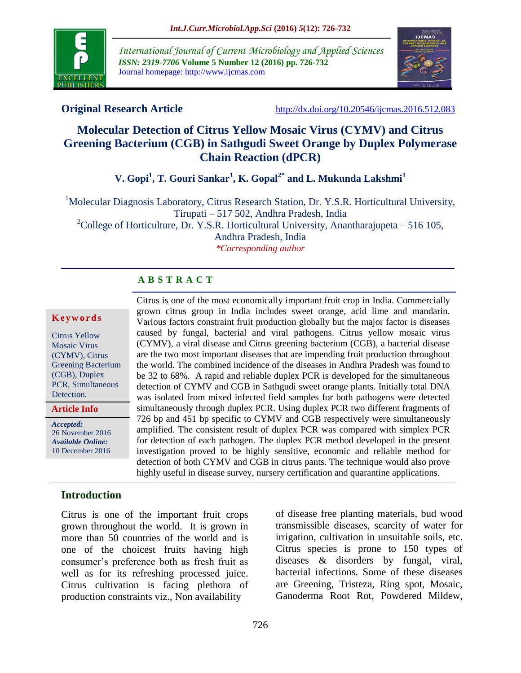

*International Journal of Current Microbiology and Applied Sciences ISSN: 2319-7706* **Volume 5 Number 12 (2016) pp. 726-732** Journal homepage: http://www.ijcmas.com



**Original Research Article** <http://dx.doi.org/10.20546/ijcmas.2016.512.083>

# **Molecular Detection of Citrus Yellow Mosaic Virus (CYMV) and Citrus Greening Bacterium (CGB) in Sathgudi Sweet Orange by Duplex Polymerase Chain Reaction (dPCR)**

**V. Gopi<sup>1</sup> , T. Gouri Sankar<sup>1</sup> , K. Gopal2\* and L. Mukunda Lakshmi<sup>1</sup>**

<sup>1</sup>Molecular Diagnosis Laboratory, Citrus Research Station, Dr. Y.S.R. Horticultural University, Tirupati – 517 502, Andhra Pradesh, India

<sup>2</sup>College of Horticulture, Dr. Y.S.R. Horticultural University, Anantharajupeta – 516 105, Andhra Pradesh, India *\*Corresponding author*

## **A B S T R A C T**

#### **K e y w o r d s**

Citrus Yellow Mosaic Virus (CYMV), Citrus Greening Bacterium (CGB), Duplex PCR, Simultaneous Detection.

**Article Info**

*Accepted:*  26 November 2016 *Available Online:* 10 December 2016

Citrus is one of the most economically important fruit crop in India. Commercially grown citrus group in India includes sweet orange, acid lime and mandarin. Various factors constraint fruit production globally but the major factor is diseases caused by fungal, bacterial and viral pathogens. Citrus yellow mosaic virus (CYMV), a viral disease and Citrus greening bacterium (CGB), a bacterial disease are the two most important diseases that are impending fruit production throughout the world. The combined incidence of the diseases in Andhra Pradesh was found to be 32 to 68%. A rapid and reliable duplex PCR is developed for the simultaneous detection of CYMV and CGB in Sathgudi sweet orange plants. Initially total DNA was isolated from mixed infected field samples for both pathogens were detected simultaneously through duplex PCR. Using duplex PCR two different fragments of 726 bp and 451 bp specific to CYMV and CGB respectively were simultaneously amplified. The consistent result of duplex PCR was compared with simplex PCR for detection of each pathogen. The duplex PCR method developed in the present investigation proved to be highly sensitive, economic and reliable method for detection of both CYMV and CGB in citrus pants. The technique would also prove highly useful in disease survey, nursery certification and quarantine applications.

## **Introduction**

Citrus is one of the important fruit crops grown throughout the world. It is grown in more than 50 countries of the world and is one of the choicest fruits having high consumer's preference both as fresh fruit as well as for its refreshing processed juice. Citrus cultivation is facing plethora of production constraints viz., Non availability

of disease free planting materials, bud wood transmissible diseases, scarcity of water for irrigation, cultivation in unsuitable soils, etc. Citrus species is prone to 150 types of diseases & disorders by fungal, viral, bacterial infections. Some of these diseases are Greening, Tristeza, Ring spot, Mosaic, Ganoderma Root Rot, Powdered Mildew,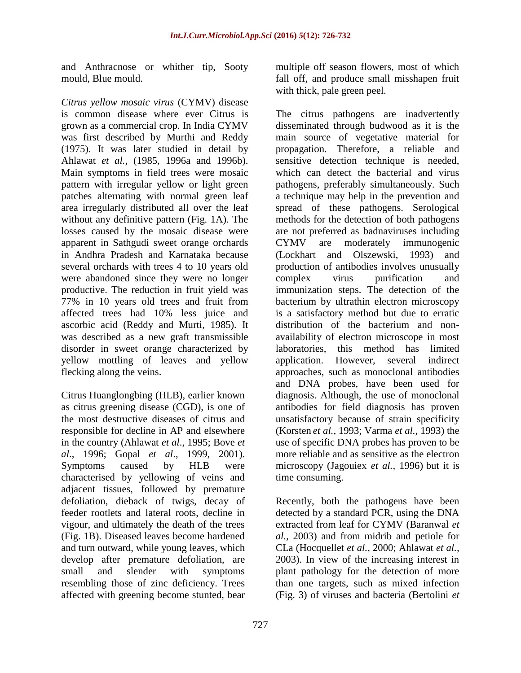and Anthracnose or whither tip, Sooty mould, Blue mould.

*Citrus yellow mosaic virus* (CYMV) disease is common disease where ever Citrus is grown as a commercial crop. In India CYMV was first described by Murthi and Reddy (1975). It was later studied in detail by Ahlawat *et al.,* (1985, 1996a and 1996b). Main symptoms in field trees were mosaic pattern with irregular yellow or light green patches alternating with normal green leaf area irregularly distributed all over the leaf without any definitive pattern (Fig. 1A). The losses caused by the mosaic disease were apparent in Sathgudi sweet orange orchards in Andhra Pradesh and Karnataka because several orchards with trees 4 to 10 years old were abandoned since they were no longer productive. The reduction in fruit yield was 77% in 10 years old trees and fruit from affected trees had 10% less juice and ascorbic acid (Reddy and Murti, 1985). It was described as a new graft transmissible disorder in sweet orange characterized by yellow mottling of leaves and yellow flecking along the veins.

Citrus Huanglongbing (HLB), earlier known as citrus greening disease (CGD), is one of the most destructive diseases of citrus and responsible for decline in AP and elsewhere in the country (Ahlawat *et al*., 1995; Bove *et al*., 1996; Gopal *et al*., 1999, 2001). Symptoms caused by HLB were characterised by yellowing of veins and adjacent tissues, followed by premature defoliation, dieback of twigs, decay of feeder rootlets and lateral roots, decline in vigour, and ultimately the death of the trees (Fig. 1B). Diseased leaves become hardened and turn outward, while young leaves, which develop after premature defoliation, are small and slender with symptoms resembling those of zinc deficiency. Trees affected with greening become stunted, bear

multiple off season flowers, most of which fall off, and produce small misshapen fruit with thick, pale green peel.

The citrus pathogens are inadvertently disseminated through budwood as it is the main source of vegetative material for propagation. Therefore, a reliable and sensitive detection technique is needed, which can detect the bacterial and virus pathogens, preferably simultaneously. Such a technique may help in the prevention and spread of these pathogens. Serological methods for the detection of both pathogens are not preferred as badnaviruses including CYMV are moderately immunogenic (Lockhart and Olszewski, 1993) and production of antibodies involves unusually complex virus purification and immunization steps. The detection of the bacterium by ultrathin electron microscopy is a satisfactory method but due to erratic distribution of the bacterium and nonavailability of electron microscope in most laboratories, this method has limited application. However, several indirect approaches, such as monoclonal antibodies and DNA probes, have been used for diagnosis. Although, the use of monoclonal antibodies for field diagnosis has proven unsatisfactory because of strain specificity (Korsten *et al.,* 1993; Varma *et al.,* 1993) the use of specific DNA probes has proven to be more reliable and as sensitive as the electron microscopy (Jagouiex *et al.,* 1996) but it is time consuming.

Recently, both the pathogens have been detected by a standard PCR, using the DNA extracted from leaf for CYMV (Baranwal *et al.,* 2003) and from midrib and petiole for CLa (Hocquellet *et al.,* 2000; Ahlawat *et al.,* 2003). In view of the increasing interest in plant pathology for the detection of more than one targets, such as mixed infection (Fig. 3) of viruses and bacteria (Bertolini *et*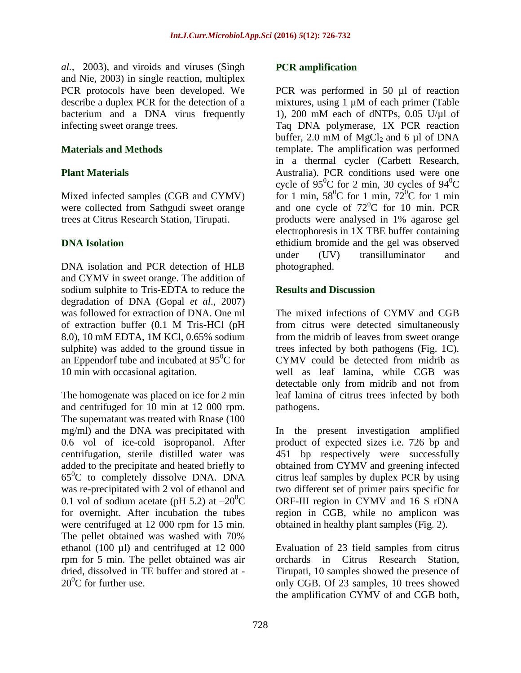*al.,* 2003), and viroids and viruses (Singh and Nie, 2003) in single reaction, multiplex PCR protocols have been developed. We describe a duplex PCR for the detection of a bacterium and a DNA virus frequently infecting sweet orange trees.

#### **Materials and Methods**

## **Plant Materials**

Mixed infected samples (CGB and CYMV) were collected from Sathgudi sweet orange trees at Citrus Research Station, Tirupati.

## **DNA Isolation**

DNA isolation and PCR detection of HLB and CYMV in sweet orange. The addition of sodium sulphite to Tris-EDTA to reduce the degradation of DNA (Gopal *et al*., 2007) was followed for extraction of DNA. One ml of extraction buffer (0.1 M Tris-HCl (pH 8.0), 10 mM EDTA, 1M KCl, 0.65% sodium sulphite) was added to the ground tissue in an Eppendorf tube and incubated at  $95^{\circ}$ C for 10 min with occasional agitation.

The homogenate was placed on ice for 2 min and centrifuged for 10 min at 12 000 rpm. The supernatant was treated with Rnase (100 mg/ml) and the DNA was precipitated with 0.6 vol of ice-cold isopropanol. After centrifugation, sterile distilled water was added to the precipitate and heated briefly to  $65^{\circ}$ C to completely dissolve DNA. DNA was re-precipitated with 2 vol of ethanol and 0.1 vol of sodium acetate (pH 5.2) at  $-20^{\circ}$ C for overnight. After incubation the tubes were centrifuged at 12 000 rpm for 15 min. The pellet obtained was washed with 70% ethanol (100 µl) and centrifuged at 12 000 rpm for 5 min. The pellet obtained was air dried, dissolved in TE buffer and stored at -  $20^0C$  for further use.

## **PCR amplification**

PCR was performed in 50 µl of reaction mixtures, using  $1 \mu M$  of each primer (Table 1), 200 mM each of dNTPs,  $0.05$  U/ $\mu$ l of Taq DNA polymerase, 1X PCR reaction buffer, 2.0 mM of  $MgCl<sub>2</sub>$  and 6 µl of DNA template. The amplification was performed in a thermal cycler (Carbett Research, Australia). PCR conditions used were one cycle of  $95^{\circ}$ C for 2 min, 30 cycles of  $94^{\circ}$ C for 1 min,  $58^{\circ}$ C for 1 min,  $72^{\circ}$ C for 1 min and one cycle of  $72^{\circ}$ C for 10 min. PCR products were analysed in 1% agarose gel electrophoresis in 1X TBE buffer containing ethidium bromide and the gel was observed under (UV) transilluminator and photographed.

## **Results and Discussion**

The mixed infections of CYMV and CGB from citrus were detected simultaneously from the midrib of leaves from sweet orange trees infected by both pathogens (Fig. 1C). CYMV could be detected from midrib as well as leaf lamina, while CGB was detectable only from midrib and not from leaf lamina of citrus trees infected by both pathogens.

In the present investigation amplified product of expected sizes i.e. 726 bp and 451 bp respectively were successfully obtained from CYMV and greening infected citrus leaf samples by duplex PCR by using two different set of primer pairs specific for ORF-III region in CYMV and 16 S rDNA region in CGB, while no amplicon was obtained in healthy plant samples (Fig. 2).

Evaluation of 23 field samples from citrus orchards in Citrus Research Station, Tirupati, 10 samples showed the presence of only CGB. Of 23 samples, 10 trees showed the amplification CYMV of and CGB both,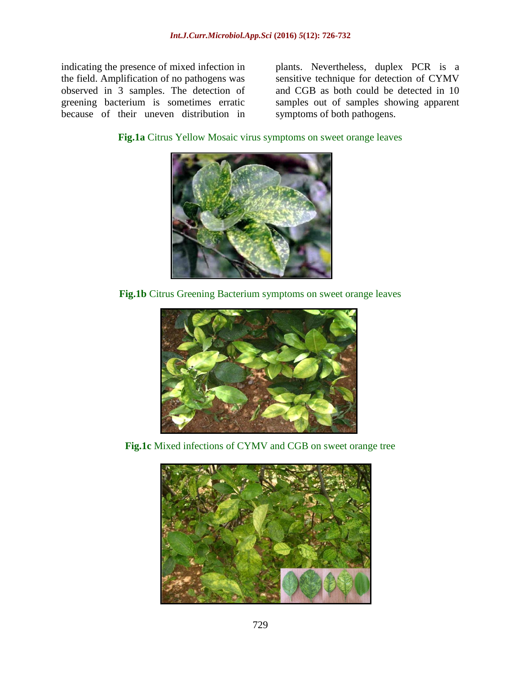indicating the presence of mixed infection in the field. Amplification of no pathogens was observed in 3 samples. The detection of greening bacterium is sometimes erratic because of their uneven distribution in plants. Nevertheless, duplex PCR is a sensitive technique for detection of CYMV and CGB as both could be detected in 10 samples out of samples showing apparent symptoms of both pathogens.

**Fig.1a** Citrus Yellow Mosaic virus symptoms on sweet orange leaves



**Fig.1b** Citrus Greening Bacterium symptoms on sweet orange leaves



**Fig.1c** Mixed infections of CYMV and CGB on sweet orange tree

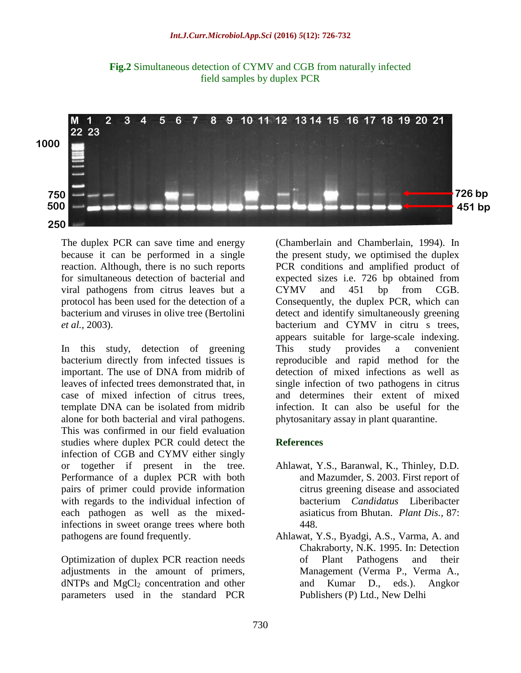

**Fig.2** Simultaneous detection of CYMV and CGB from naturally infected field samples by duplex PCR

The duplex PCR can save time and energy because it can be performed in a single reaction. Although, there is no such reports for simultaneous detection of bacterial and viral pathogens from citrus leaves but a protocol has been used for the detection of a bacterium and viruses in olive tree (Bertolini *et al.,* 2003).

In this study, detection of greening bacterium directly from infected tissues is important. The use of DNA from midrib of leaves of infected trees demonstrated that, in case of mixed infection of citrus trees, template DNA can be isolated from midrib alone for both bacterial and viral pathogens. This was confirmed in our field evaluation studies where duplex PCR could detect the infection of CGB and CYMV either singly or together if present in the tree. Performance of a duplex PCR with both pairs of primer could provide information with regards to the individual infection of each pathogen as well as the mixedinfections in sweet orange trees where both pathogens are found frequently.

Optimization of duplex PCR reaction needs adjustments in the amount of primers,  $dNTPs$  and  $MgCl<sub>2</sub>$  concentration and other parameters used in the standard PCR

(Chamberlain and Chamberlain, 1994). In the present study, we optimised the duplex PCR conditions and amplified product of expected sizes i.e. 726 bp obtained from CYMV and 451 bp from CGB. Consequently, the duplex PCR, which can detect and identify simultaneously greening bacterium and CYMV in citru s trees, appears suitable for large-scale indexing. This study provides a convenient reproducible and rapid method for the detection of mixed infections as well as single infection of two pathogens in citrus and determines their extent of mixed infection. It can also be useful for the phytosanitary assay in plant quarantine.

#### **References**

- Ahlawat, Y.S., Baranwal, K., Thinley, D.D. and Mazumder, S. 2003. First report of citrus greening disease and associated bacterium *Candidatus* Liberibacter asiaticus from Bhutan. *Plant Dis.*, 87: 448.
- Ahlawat, Y.S., Byadgi, A.S., Varma, A. and Chakraborty, N.K. 1995. In: Detection of Plant Pathogens and their Management (Verma P., Verma A., and Kumar D., eds.). Angkor Publishers (P) Ltd., New Delhi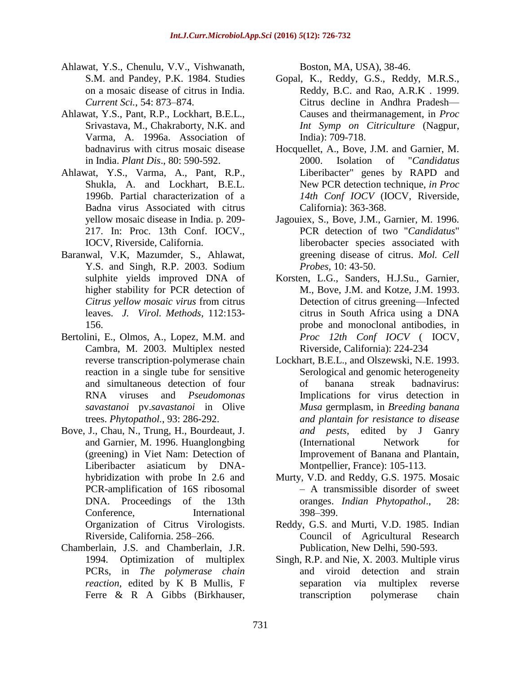- Ahlawat, Y.S., Chenulu, V.V., Vishwanath, S.M. and Pandey, P.K. 1984. Studies on a mosaic disease of citrus in India. *Current Sci.*, 54: 873–874.
- Ahlawat, Y.S., Pant, R.P., Lockhart, B.E.L., Srivastava, M., Chakraborty, N.K. and Varma, A. 1996a. Association of badnavirus with citrus mosaic disease in India. *Plant Dis*., 80: 590-592.
- Ahlawat, Y.S., Varma, A., Pant, R.P., Shukla, A. and Lockhart, B.E.L. 1996b. Partial characterization of a Badna virus Associated with citrus yellow mosaic disease in India. p. 209- 217. In: Proc. 13th Conf. IOCV., IOCV, Riverside, California.
- Baranwal, V.K, Mazumder, S., Ahlawat, Y.S. and Singh, R.P. 2003. Sodium sulphite yields improved DNA of higher stability for PCR detection of *Citrus yellow mosaic virus* from citrus leaves. *J. Virol. Methods,* 112:153- 156.
- Bertolini, E., Olmos, A., Lopez, M.M. and Cambra, M. 2003. Multiplex nested reverse transcription-polymerase chain reaction in a single tube for sensitive and simultaneous detection of four RNA viruses and *Pseudomonas savastanoi* pv.*savastanoi* in Olive trees. *Phytopathol.*, 93: 286-292.
- Bove, J., Chau, N., Trung, H., Bourdeaut, J. and Garnier, M. 1996. Huanglongbing (greening) in Viet Nam: Detection of Liberibacter asiaticum by DNAhybridization with probe In 2.6 and PCR-amplification of 16S ribosomal DNA. Proceedings of the 13th Conference, International Organization of Citrus Virologists. Riverside, California. 258–266.
- Chamberlain, J.S. and Chamberlain, J.R. 1994. Optimization of multiplex PCRs, in *The polymerase chain reaction,* edited by K B Mullis, F Ferre & R A Gibbs (Birkhauser,

Boston, MA, USA), 38-46.

- Gopal, K., Reddy, G.S., Reddy, M.R.S., Reddy, B.C. and Rao, A.R.K . 1999. Citrus decline in Andhra Pradesh— Causes and theirmanagement, in *Proc Int Symp on Citriculture* (Nagpur, India): 709-718.
- Hocquellet, A., Bove, J.M. and Garnier, M. 2000. Isolation of "*Candidatus*  Liberibacter" genes by RAPD and New PCR detection technique, *in Proc 14th Conf IOCV* (IOCV, Riverside, California): 363-368.
- Jagouiex, S., Bove, J.M., Garnier, M. 1996. PCR detection of two "*Candidatus*" liberobacter species associated with greening disease of citrus. *Mol. Cell Probes,* 10: 43-50.
- Korsten, L.G., Sanders, H.J.Su., Garnier, M., Bove, J.M. and Kotze, J.M. 1993. Detection of citrus greening—Infected citrus in South Africa using a DNA probe and monoclonal antibodies, in *Proc 12th Conf IOCV* ( IOCV, Riverside, California): 224-234
- Lockhart, B.E.L., and Olszewski, N.E. 1993. Serological and genomic heterogeneity of banana streak badnavirus: Implications for virus detection in *Musa* germplasm, in *Breeding banana and plantain for resistance to disease and pests*, edited by J Ganry (International Network for Improvement of Banana and Plantain, Montpellier, France): 105-113.
- Murty, V.D. and Reddy, G.S. 1975. Mosaic – A transmissible disorder of sweet oranges. *Indian Phytopathol*., 28: 398–399.
- Reddy, G.S. and Murti, V.D. 1985. Indian Council of Agricultural Research Publication, New Delhi, 590-593.
- Singh, R.P. and Nie, X. 2003. Multiple virus and viroid detection and strain separation via multiplex reverse transcription polymerase chain